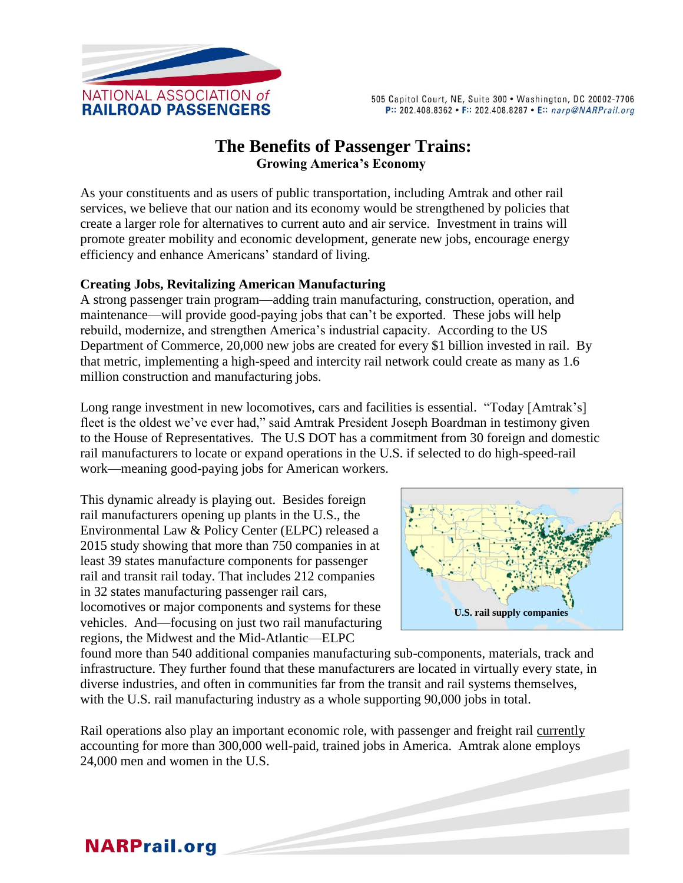

505 Capitol Court, NE, Suite 300 . Washington, DC 20002-7706 P:: 202.408.8362 • F:: 202.408.8287 • E:: narp@NARPrail.org

## **The Benefits of Passenger Trains: Growing America's Economy**

As your constituents and as users of public transportation, including Amtrak and other rail services, we believe that our nation and its economy would be strengthened by policies that create a larger role for alternatives to current auto and air service. Investment in trains will promote greater mobility and economic development, generate new jobs, encourage energy efficiency and enhance Americans' standard of living.

#### **Creating Jobs, Revitalizing American Manufacturing**

A strong passenger train program—adding train manufacturing, construction, operation, and maintenance—will provide good-paying jobs that can't be exported. These jobs will help rebuild, modernize, and strengthen America's industrial capacity. According to the US Department of Commerce, 20,000 new jobs are created for every \$1 billion invested in rail. By that metric, implementing a high-speed and intercity rail network could create as many as 1.6 million construction and manufacturing jobs.

Long range investment in new locomotives, cars and facilities is essential. "Today [Amtrak's] fleet is the oldest we've ever had," said Amtrak President Joseph Boardman in testimony given to the House of Representatives. The U.S DOT has a commitment from 30 foreign and domestic rail manufacturers to locate or expand operations in the U.S. if selected to do high-speed-rail work—meaning good-paying jobs for American workers.

This dynamic already is playing out. Besides foreign rail manufacturers opening up plants in the U.S., the Environmental Law & Policy Center (ELPC) released a 2015 study showing that more than 750 companies in at least 39 states manufacture components for passenger rail and transit rail today. That includes 212 companies in 32 states manufacturing passenger rail cars, locomotives or major components and systems for these vehicles. And—focusing on just two rail manufacturing regions, the Midwest and the Mid-Atlantic—ELPC



found more than 540 additional companies manufacturing sub-components, materials, track and infrastructure. They further found that these manufacturers are located in virtually every state, in diverse industries, and often in communities far from the transit and rail systems themselves, with the U.S. rail manufacturing industry as a whole supporting 90,000 jobs in total.

Rail operations also play an important economic role, with passenger and freight rail currently accounting for more than 300,000 well-paid, trained jobs in America. Amtrak alone employs 24,000 men and women in the U.S.

# **NARPrail.org**